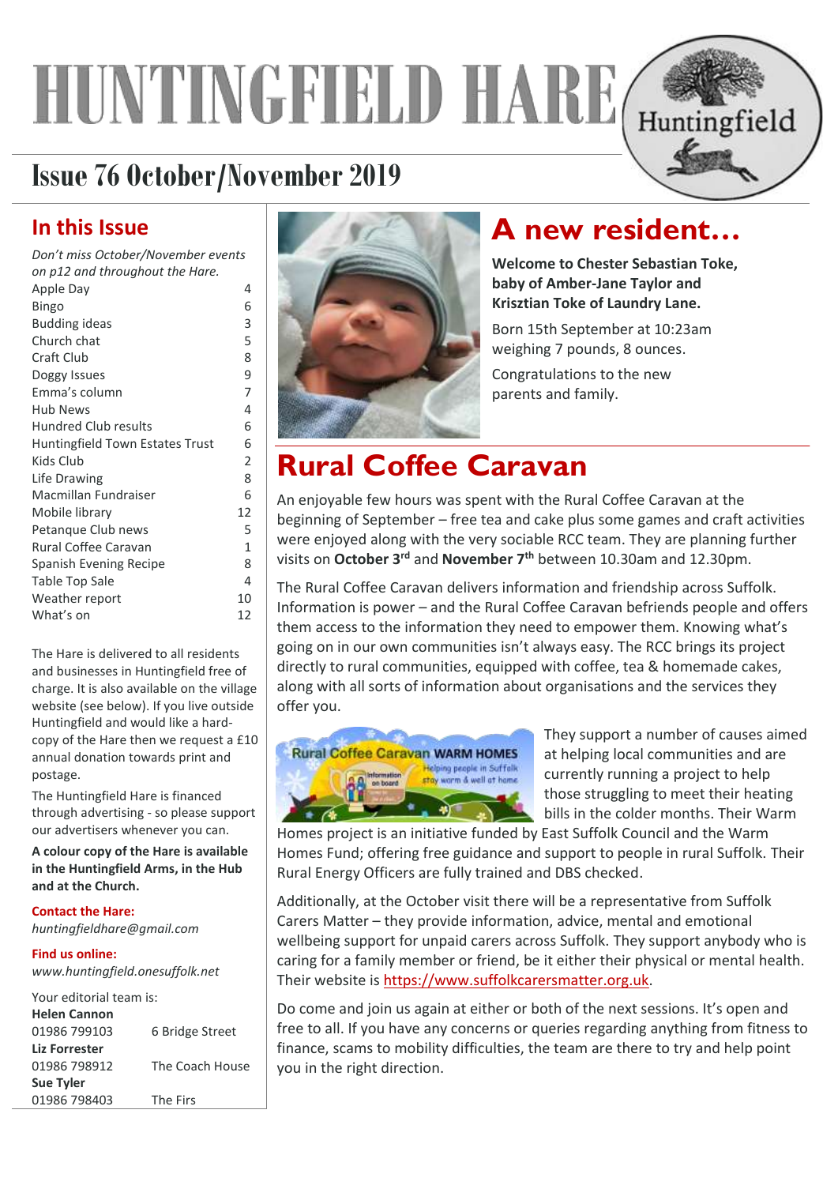# **HUNTINGFIELD HA** Huntingfield

# **Issue 76 October/November 2019**

# **In this Issue**

| Don't miss October/November events |                |
|------------------------------------|----------------|
| on p12 and throughout the Hare.    |                |
| Apple Day                          | 4              |
| <b>Bingo</b>                       | 6              |
| <b>Budding ideas</b>               | 3              |
| Church chat                        | 5              |
| Craft Club                         | 8              |
| Doggy Issues                       | 9              |
| Emma's column                      | $\overline{7}$ |
| <b>Hub News</b>                    | 4              |
| <b>Hundred Club results</b>        | 6              |
| Huntingfield Town Estates Trust    | 6              |
| Kids Club                          | 2              |
| Life Drawing                       | 8              |
| Macmillan Fundraiser               | 6              |
| Mobile library                     | 12             |
| Petangue Club news                 | 5              |
| Rural Coffee Caravan               | 1              |
| Spanish Evening Recipe             | 8              |
| Table Top Sale                     | 4              |
| Weather report                     | 10             |
| What's on                          | 12             |
|                                    |                |

The Hare is delivered to all residents and businesses in Huntingfield free of charge. It is also available on the village website (see below). If you live outside Huntingfield and would like a hardcopy of the Hare then we request a £10 annual donation towards print and postage.

The Huntingfield Hare is financed through advertising - so please support our advertisers whenever you can.

**A colour copy of the Hare is available in the Huntingfield Arms, in the Hub and at the Church.** 

#### **Contact the Hare:**

*huntingfieldhare@gmail.com*

#### **Find us online:**

*www.huntingfield.onesuffolk.net*

| Your editorial team is: |                 |  |  |  |  |
|-------------------------|-----------------|--|--|--|--|
| <b>Helen Cannon</b>     |                 |  |  |  |  |
| 01986 799103            | 6 Bridge Street |  |  |  |  |
| Liz Forrester           |                 |  |  |  |  |
| 01986 798912            | The Coach House |  |  |  |  |
| <b>Sue Tyler</b>        |                 |  |  |  |  |
| 01986 798403            | The Firs        |  |  |  |  |



# **A new resident…**

**Welcome to Chester Sebastian Toke, baby of Amber-Jane Taylor and Krisztian Toke of Laundry Lane.** 

Born 15th September at 10:23am weighing 7 pounds, 8 ounces.

Congratulations to the new parents and family.

# <span id="page-0-0"></span>**Rural Coffee Caravan**

An enjoyable few hours was spent with the Rural Coffee Caravan at the beginning of September – free tea and cake plus some games and craft activities were enjoyed along with the very sociable RCC team. They are planning further visits on **October 3rd** and **November 7th** between 10.30am and 12.30pm.

The Rural Coffee Caravan delivers information and friendship across Suffolk. Information is power – and the Rural Coffee Caravan befriends people and offers them access to the information they need to empower them. Knowing what's going on in our own communities isn't always easy. The RCC brings its project directly to rural communities, equipped with coffee, tea & homemade cakes, along with all sorts of information about organisations and the services they offer you.



They support a number of causes aimed at helping local communities and are currently running a project to help those struggling to meet their heating bills in the colder months. Their Warm

Homes project is an initiative funded by East Suffolk Council and the Warm Homes Fund; offering free guidance and support to people in rural Suffolk. Their Rural Energy Officers are fully trained and DBS checked.

Additionally, at the October visit there will be a representative from Suffolk Carers Matter – they provide information, advice, mental and emotional wellbeing support for unpaid carers across Suffolk. They support anybody who is caring for a family member or friend, be it either their physical or mental health. Their website is [https://www.suffolkcarersmatter.org.uk.](https://www.suffolkcarersmatter.org.uk/)

Do come and join us again at either or both of the next sessions. It's open and free to all. If you have any concerns or queries regarding anything from fitness to finance, scams to mobility difficulties, the team are there to try and help point you in the right direction.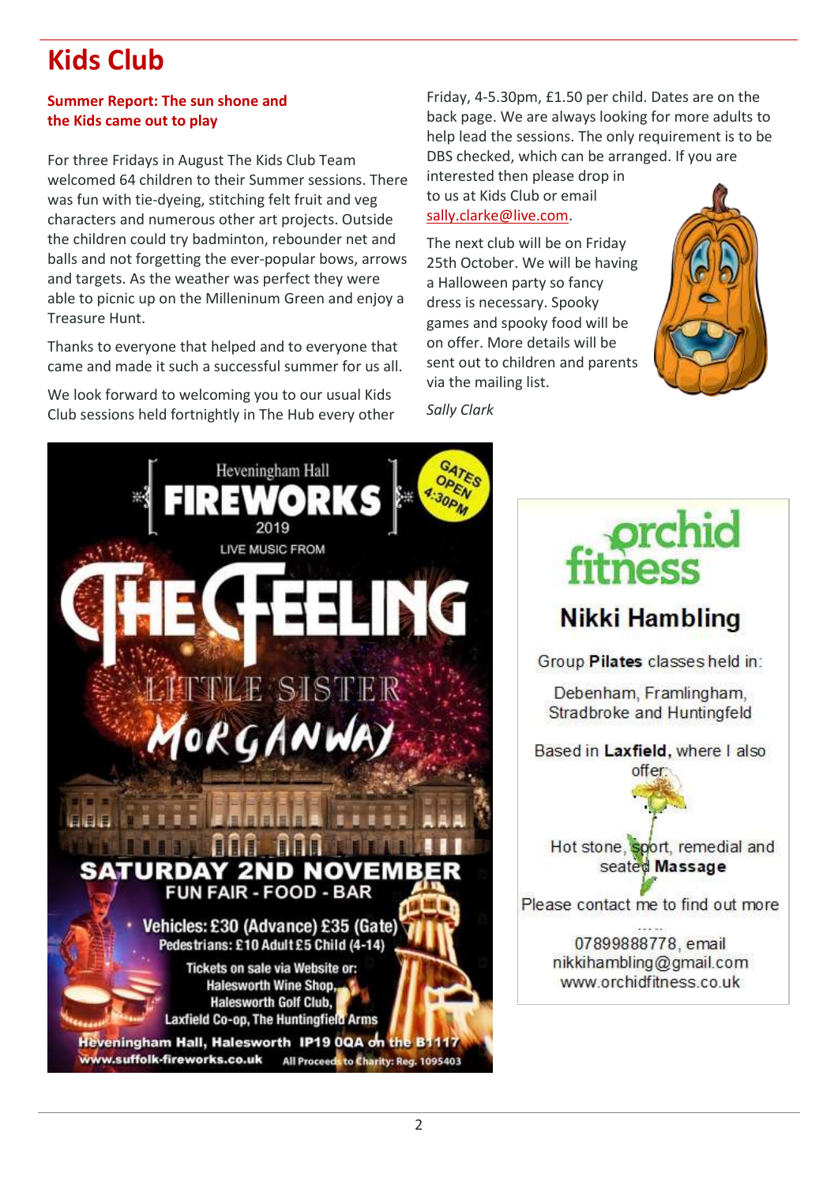# <span id="page-1-0"></span>**Kids Club**

#### **Summer Report: The sun shone and the Kids came out to play**

For three Fridays in August The Kids Club Team welcomed 64 children to their Summer sessions. There was fun with tie-dyeing, stitching felt fruit and veg characters and numerous other art projects. Outside the children could try badminton, rebounder net and balls and not forgetting the ever-popular bows, arrows and targets. As the weather was perfect they were able to picnic up on the Milleninum Green and enjoy a Treasure Hunt.

Thanks to everyone that helped and to everyone that came and made it such a successful summer for us all.

We look forward to welcoming you to our usual Kids Club sessions held fortnightly in The Hub every other

Friday, 4-5.30pm, £1.50 per child. Dates are on the back page. We are always looking for more adults to help lead the sessions. The only requirement is to be DBS checked, which can be arranged. If you are

interested then please drop in to us at Kids Club or email [sally.clarke@live.com.](mailto:sally.clarke@live.com)

The next club will be on Friday 25th October. We will be having a Halloween party so fancy dress is necessary. Spooky games and spooky food will be on offer. More details will be sent out to children and parents via the mailing list.



*Sally Clark*

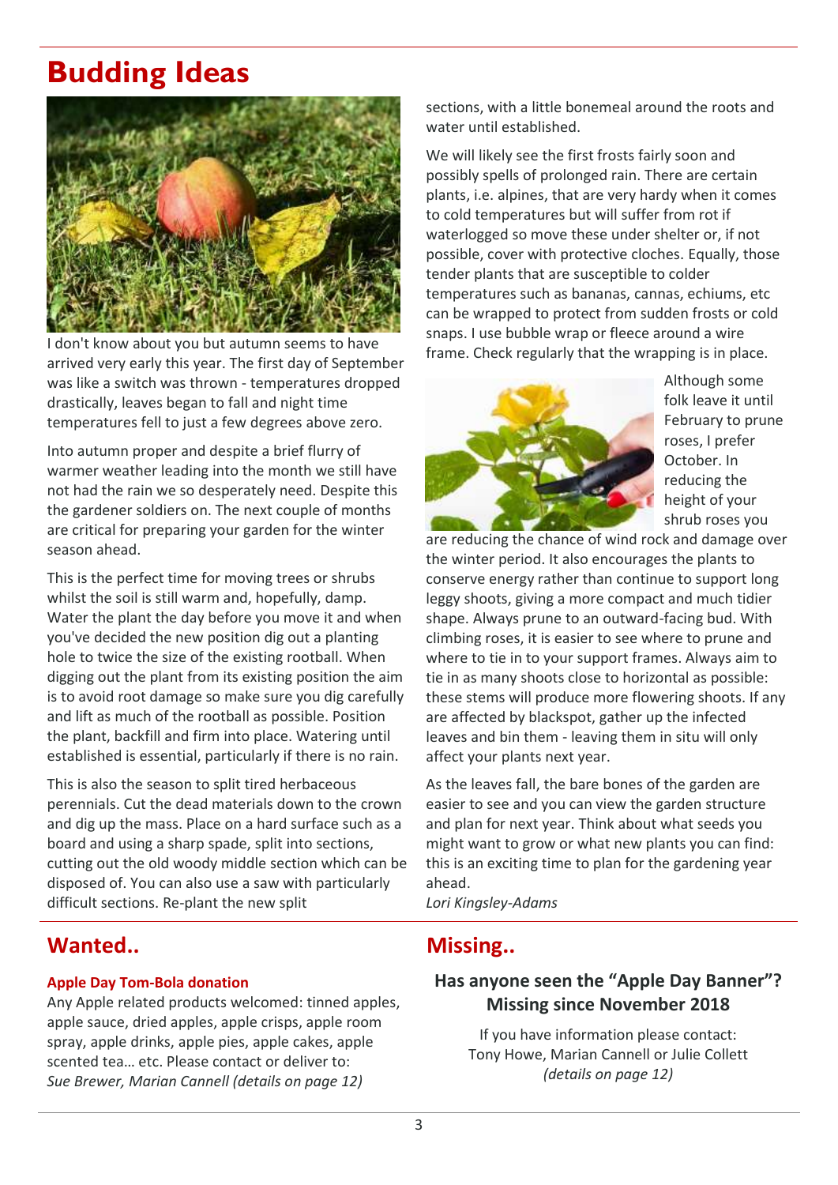# **Budding Ideas**



I don't know about you but autumn seems to have arrived very early this year. The first day of September was like a switch was thrown - temperatures dropped drastically, leaves began to fall and night time temperatures fell to just a few degrees above zero.

Into autumn proper and despite a brief flurry of warmer weather leading into the month we still have not had the rain we so desperately need. Despite this the gardener soldiers on. The next couple of months are critical for preparing your garden for the winter season ahead.

This is the perfect time for moving trees or shrubs whilst the soil is still warm and, hopefully, damp. Water the plant the day before you move it and when you've decided the new position dig out a planting hole to twice the size of the existing rootball. When digging out the plant from its existing position the aim is to avoid root damage so make sure you dig carefully and lift as much of the rootball as possible. Position the plant, backfill and firm into place. Watering until established is essential, particularly if there is no rain.

This is also the season to split tired herbaceous perennials. Cut the dead materials down to the crown and dig up the mass. Place on a hard surface such as a board and using a sharp spade, split into sections, cutting out the old woody middle section which can be disposed of. You can also use a saw with particularly difficult sections. Re-plant the new split

## Wanted.. **Missing.. Missing..**

#### **Apple Day Tom-Bola donation**

Any Apple related products welcomed: tinned apples, apple sauce, dried apples, apple crisps, apple room spray, apple drinks, apple pies, apple cakes, apple scented tea… etc. Please contact or deliver to: *Sue Brewer, Marian Cannell (details on page 12)*

sections, with a little bonemeal around the roots and water until established.

We will likely see the first frosts fairly soon and possibly spells of prolonged rain. There are certain plants, i.e. alpines, that are very hardy when it comes to cold temperatures but will suffer from rot if waterlogged so move these under shelter or, if not possible, cover with protective cloches. Equally, those tender plants that are susceptible to colder temperatures such as bananas, cannas, echiums, etc can be wrapped to protect from sudden frosts or cold snaps. I use bubble wrap or fleece around a wire frame. Check regularly that the wrapping is in place.



Although some folk leave it until February to prune roses, I prefer October. In reducing the height of your shrub roses you

are reducing the chance of wind rock and damage over the winter period. It also encourages the plants to conserve energy rather than continue to support long leggy shoots, giving a more compact and much tidier shape. Always prune to an outward-facing bud. With climbing roses, it is easier to see where to prune and where to tie in to your support frames. Always aim to tie in as many shoots close to horizontal as possible: these stems will produce more flowering shoots. If any are affected by blackspot, gather up the infected leaves and bin them - leaving them in situ will only affect your plants next year.

As the leaves fall, the bare bones of the garden are easier to see and you can view the garden structure and plan for next year. Think about what seeds you might want to grow or what new plants you can find: this is an exciting time to plan for the gardening year ahead.

*Lori Kingsley-Adams*

#### **Has anyone seen the "Apple Day Banner"? Missing since November 2018**

If you have information please contact: Tony Howe, Marian Cannell or Julie Collett *(details on page 12)*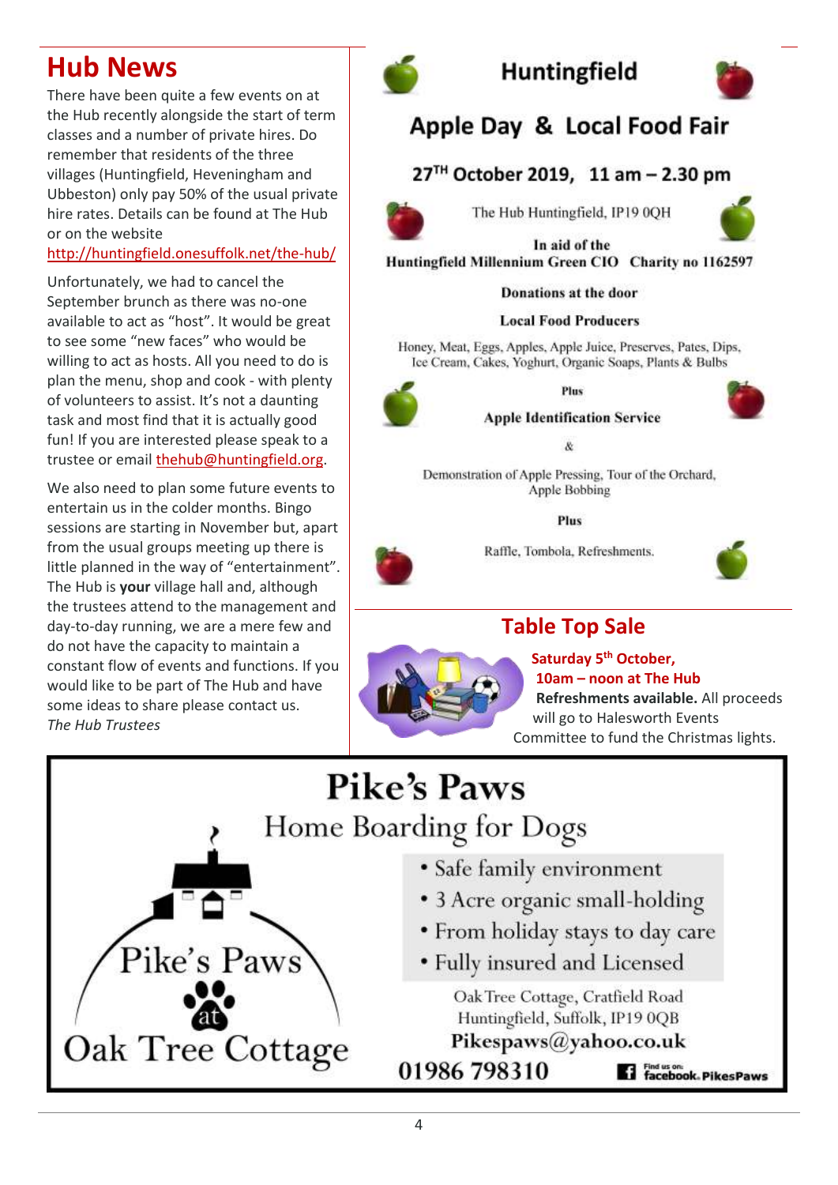# <span id="page-3-1"></span>**Hub News**

There have been quite a few events on at the Hub recently alongside the start of term classes and a number of private hires. Do remember that residents of the three villages (Huntingfield, Heveningham and Ubbeston) only pay 50% of the usual private hire rates. Details can be found at The Hub or on the website

#### <http://huntingfield.onesuffolk.net/the-hub/>

Unfortunately, we had to cancel the September brunch as there was no-one available to act as "host". It would be great to see some "new faces" who would be willing to act as hosts. All you need to do is plan the menu, shop and cook - with plenty of volunteers to assist. It's not a daunting task and most find that it is actually good fun! If you are interested please speak to a trustee or email [thehub@huntingfield.org.](mailto:thehub@huntingfield.org)

We also need to plan some future events to entertain us in the colder months. Bingo sessions are starting in November but, apart from the usual groups meeting up there is little planned in the way of "entertainment". The Hub is **your** village hall and, although the trustees attend to the management and day-to-day running, we are a mere few and do not have the capacity to maintain a constant flow of events and functions. If you would like to be part of The Hub and have some ideas to share please contact us. *The Hub Trustees*

<span id="page-3-0"></span>

# **Huntingfield**



# Apple Day & Local Food Fair

### 27<sup>TH</sup> October 2019, 11 am – 2.30 pm



The Hub Huntingfield, IP19 0OH



In aid of the Huntingfield Millennium Green CIO Charity no 1162597

**Donations at the door** 

#### **Local Food Producers**

Honey, Meat, Eggs, Apples, Apple Juice, Preserves, Pates, Dips, Ice Cream, Cakes, Yoghurt, Organic Soaps, Plants & Bulbs





**Apple Identification Service** 

&

Demonstration of Apple Pressing, Tour of the Orchard, Apple Bobbing

Plus

Raffle, Tombola, Refreshments.



# **Table Top Sale**



**Saturday 5th October, 10am – noon at The Hub Refreshments available.** All proceeds will go to Halesworth Events Committee to fund the Christmas lights.

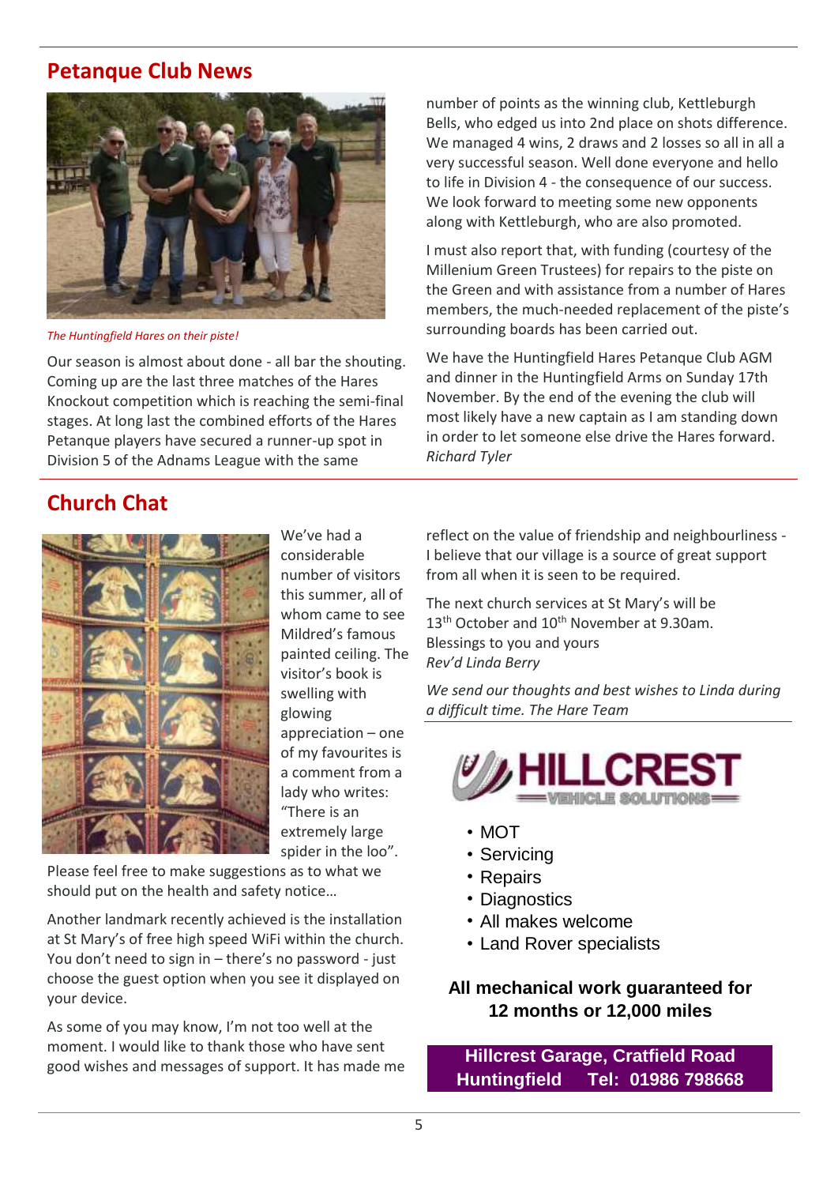### **Petanque Club News**



*The Huntingfield Hares on their piste!*

Our season is almost about done - all bar the shouting. Coming up are the last three matches of the Hares Knockout competition which is reaching the semi-final stages. At long last the combined efforts of the Hares Petanque players have secured a runner-up spot in Division 5 of the Adnams League with the same

number of points as the winning club, Kettleburgh Bells, who edged us into 2nd place on shots difference. We managed 4 wins, 2 draws and 2 losses so all in all a very successful season. Well done everyone and hello to life in Division 4 - the consequence of our success. We look forward to meeting some new opponents along with Kettleburgh, who are also promoted.

I must also report that, with funding (courtesy of the Millenium Green Trustees) for repairs to the piste on the Green and with assistance from a number of Hares members, the much-needed replacement of the piste's surrounding boards has been carried out.

We have the Huntingfield Hares Petanque Club AGM and dinner in the Huntingfield Arms on Sunday 17th November. By the end of the evening the club will most likely have a new captain as I am standing down in order to let someone else drive the Hares forward. *Richard Tyler*

## **Church Chat**



We've had a considerable number of visitors this summer, all of whom came to see Mildred's famous painted ceiling. The visitor's book is swelling with glowing appreciation – one of my favourites is a comment from a lady who writes: "There is an extremely large spider in the loo".

Please feel free to make suggestions as to what we should put on the health and safety notice…

Another landmark recently achieved is the installation at St Mary's of free high speed WiFi within the church. You don't need to sign in – there's no password - just choose the guest option when you see it displayed on your device.

As some of you may know, I'm not too well at the moment. I would like to thank those who have sent good wishes and messages of support. It has made me reflect on the value of friendship and neighbourliness - I believe that our village is a source of great support from all when it is seen to be required.

The next church services at St Mary's will be 13<sup>th</sup> October and 10<sup>th</sup> November at 9.30am. Blessings to you and yours *Rev'd Linda Berry*

*We send our thoughts and best wishes to Linda during a difficult time. The Hare Team*



- MOT
- Servicing
- Repairs
- Diagnostics
- All makes welcome
- Land Rover specialists

**All mechanical work guaranteed for 12 months or 12,000 miles**

**Hillcrest Garage, Cratfield Road Huntingfield Tel: 01986 798668**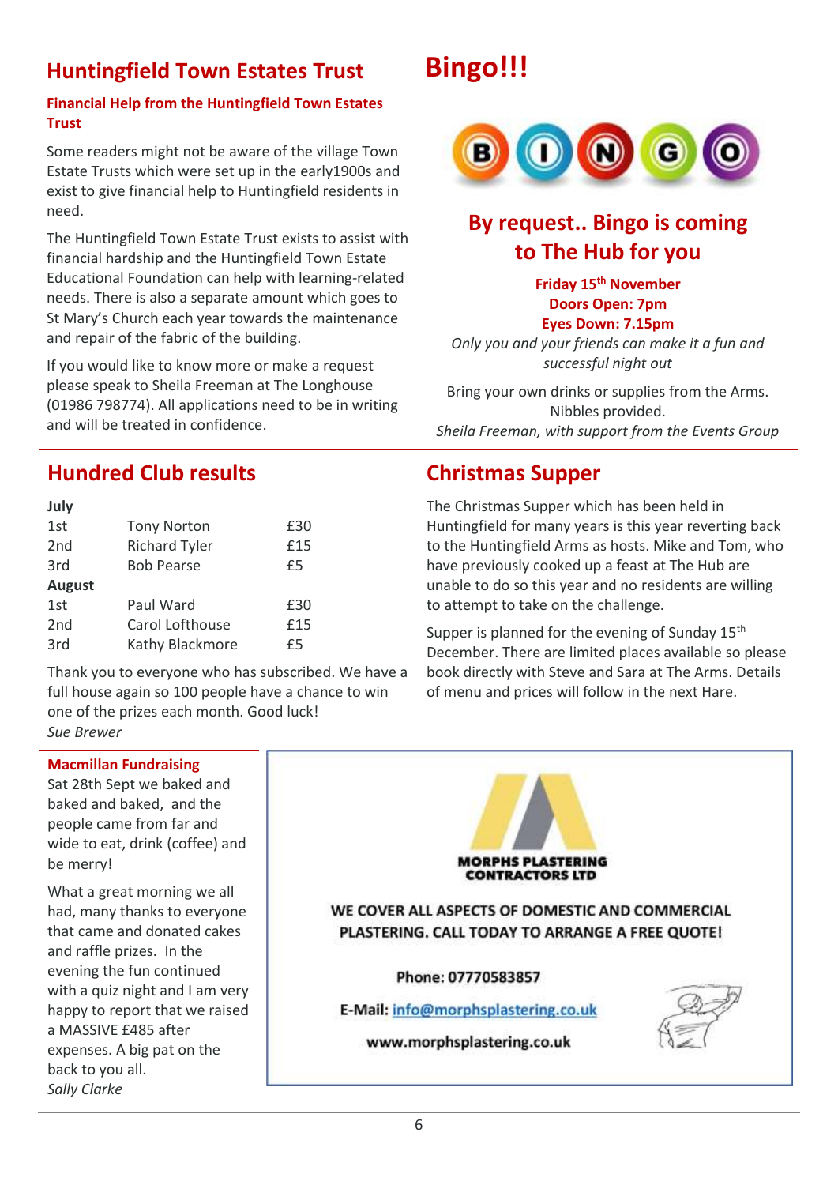# <span id="page-5-2"></span>**Huntingfield Town Estates Trust Bingo!!!**

#### **Financial Help from the Huntingfield Town Estates Trust**

Some readers might not be aware of the village Town Estate Trusts which were set up in the early1900s and exist to give financial help to Huntingfield residents in need.

The Huntingfield Town Estate Trust exists to assist with financial hardship and the Huntingfield Town Estate Educational Foundation can help with learning-related needs. There is also a separate amount which goes to St Mary's Church each year towards the maintenance and repair of the fabric of the building.

If you would like to know more or make a request please speak to Sheila Freeman at The Longhouse (01986 798774). All applications need to be in writing and will be treated in confidence.

<span id="page-5-0"></span>

# **By request.. Bingo is coming to The Hub for you**

**Friday 15th November Doors Open: 7pm Eyes Down: 7.15pm**

*Only you and your friends can make it a fun and successful night out*

Bring your own drinks or supplies from the Arms. Nibbles provided. *Sheila Freeman, with support from the Events Group*

## <span id="page-5-1"></span>**Hundred Club results Christmas Supper**

| July            |                      |     |
|-----------------|----------------------|-----|
| 1st             | <b>Tony Norton</b>   | £30 |
| 2 <sub>nd</sub> | <b>Richard Tyler</b> | £15 |
| 3rd             | <b>Bob Pearse</b>    | £5  |
| <b>August</b>   |                      |     |
| 1st             | Paul Ward            | £30 |
| 2 <sub>nd</sub> | Carol Lofthouse      | £15 |
| 3rd             | Kathy Blackmore      |     |

Thank you to everyone who has subscribed. We have a full house again so 100 people have a chance to win one of the prizes each month. Good luck! *Sue Brewer*

The Christmas Supper which has been held in Huntingfield for many years is this year reverting back to the Huntingfield Arms as hosts. Mike and Tom, who have previously cooked up a feast at The Hub are unable to do so this year and no residents are willing to attempt to take on the challenge.

Supper is planned for the evening of Sunday 15<sup>th</sup> December. There are limited places available so please book directly with Steve and Sara at The Arms. Details of menu and prices will follow in the next Hare.

#### <span id="page-5-3"></span>**Macmillan Fundraising**

Sat 28th Sept we baked and baked and baked, and the people came from far and wide to eat, drink (coffee) and be merry!

What a great morning we all had, many thanks to everyone that came and donated cakes and raffle prizes. In the evening the fun continued with a quiz night and I am very happy to report that we raised a MASSIVE £485 after expenses. A big pat on the back to you all. *Sally Clarke*

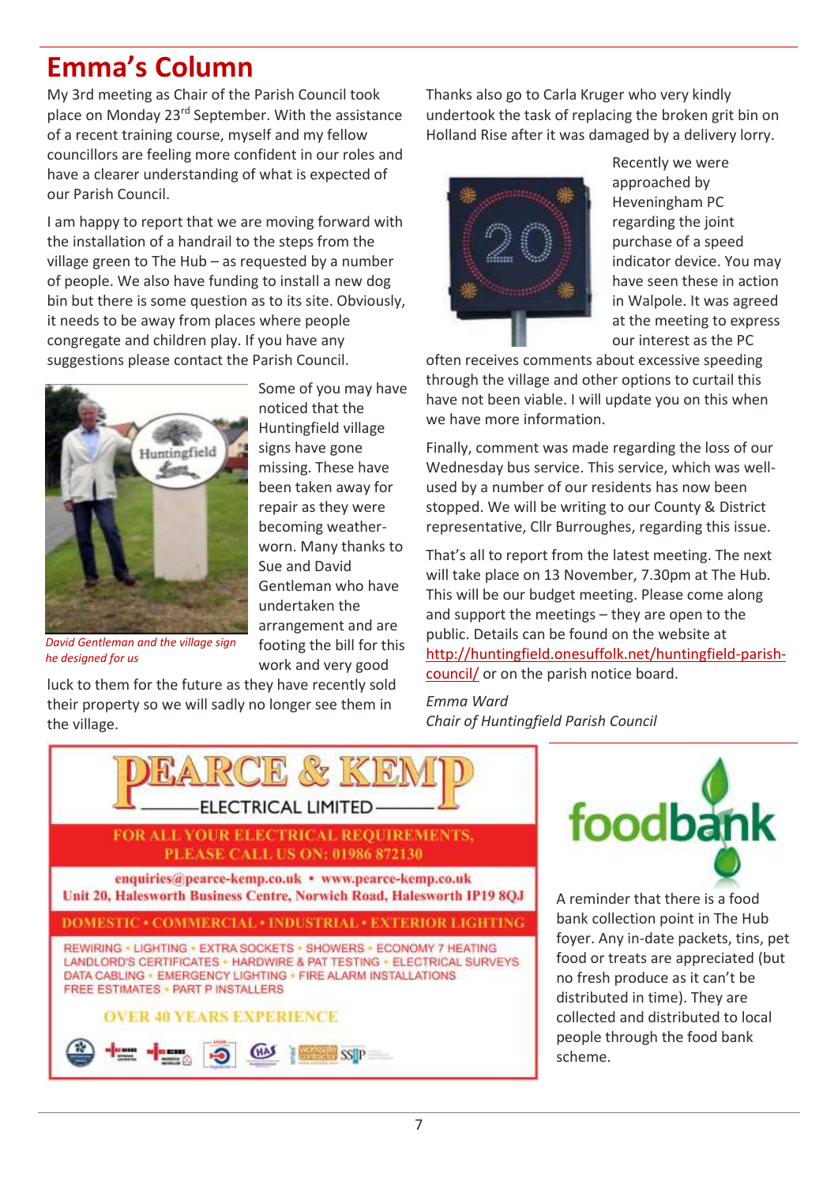# <span id="page-6-0"></span>**Emma's Column**

My 3rd meeting as Chair of the Parish Council took place on Monday 23rd September. With the assistance of a recent training course, myself and my fellow councillors are feeling more confident in our roles and have a clearer understanding of what is expected of our Parish Council.

I am happy to report that we are moving forward with the installation of a handrail to the steps from the village green to The Hub – as requested by a number of people. We also have funding to install a new dog bin but there is some question as to its site. Obviously, it needs to be away from places where people congregate and children play. If you have any suggestions please contact the Parish Council.



Some of you may have noticed that the Huntingfield village signs have gone missing. These have been taken away for repair as they were becoming weatherworn. Many thanks to Sue and David Gentleman who have undertaken the arrangement and are footing the bill for this work and very good

*David Gentleman and the village sign he designed for us*

luck to them for the future as they have recently sold their property so we will sadly no longer see them in the village.

Thanks also go to Carla Kruger who very kindly undertook the task of replacing the broken grit bin on Holland Rise after it was damaged by a delivery lorry.



Recently we were approached by Heveningham PC regarding the joint purchase of a speed indicator device. You may have seen these in action in Walpole. It was agreed at the meeting to express our interest as the PC

often receives comments about excessive speeding through the village and other options to curtail this have not been viable. I will update you on this when we have more information.

Finally, comment was made regarding the loss of our Wednesday bus service. This service, which was wellused by a number of our residents has now been stopped. We will be writing to our County & District representative, Cllr Burroughes, regarding this issue.

That's all to report from the latest meeting. The next will take place on 13 November, 7.30pm at The Hub. This will be our budget meeting. Please come along and support the meetings – they are open to the public. Details can be found on the website at [http://huntingfield.onesuffolk.net/huntingfield-parish](http://huntingfield.onesuffolk.net/huntingfield-parish-council/)[council/](http://huntingfield.onesuffolk.net/huntingfield-parish-council/) or on the parish notice board.

*Emma Ward Chair of Huntingfield Parish Council*





A reminder that there is a food bank collection point in The Hub foyer. Any in-date packets, tins, pet food or treats are appreciated (but no fresh produce as it can't be distributed in time). They are collected and distributed to local people through the food bank scheme.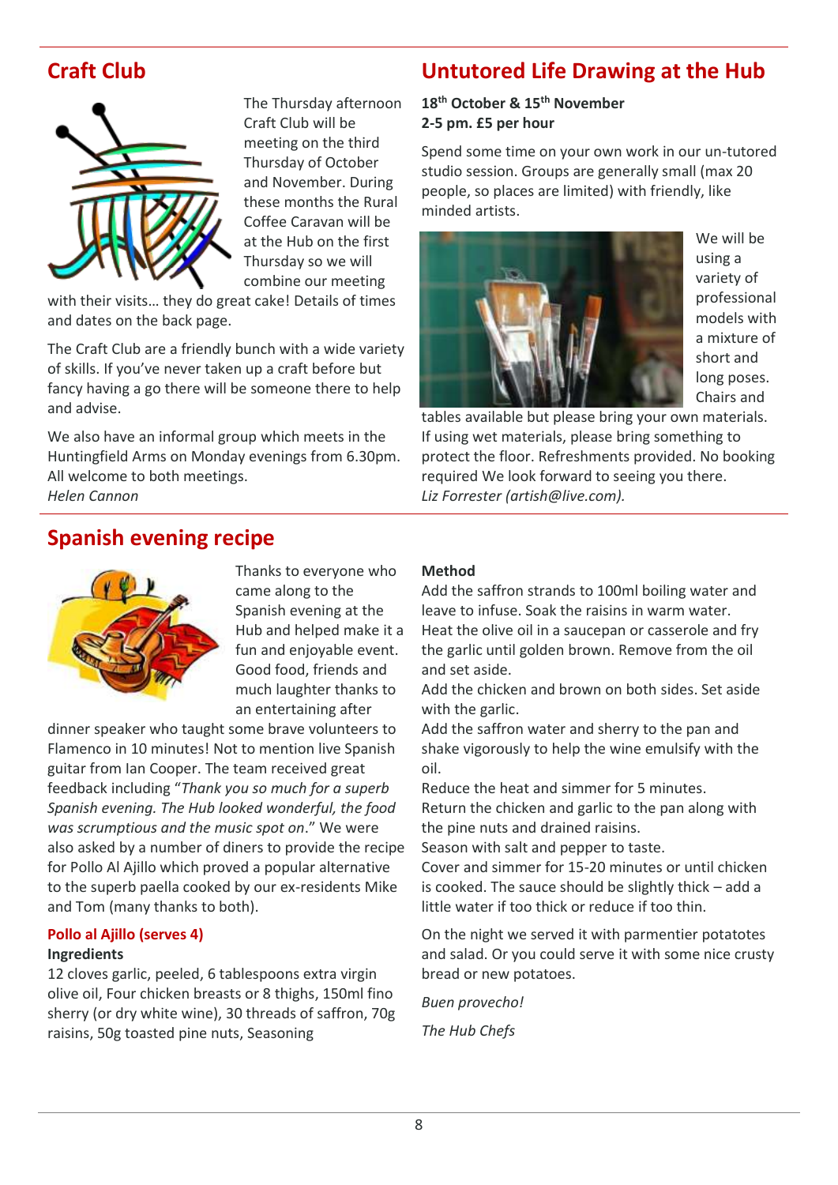

The Thursday afternoon Craft Club will be meeting on the third Thursday of October and November. During these months the Rural Coffee Caravan will be at the Hub on the first Thursday so we will combine our meeting

with their visits… they do great cake! Details of times and dates on the back page.

The Craft Club are a friendly bunch with a wide variety of skills. If you've never taken up a craft before but fancy having a go there will be someone there to help and advise.

We also have an informal group which meets in the Huntingfield Arms on Monday evenings from 6.30pm. All welcome to both meetings.

*Helen Cannon*

# <span id="page-7-0"></span>**Craft Club Untutored Life Drawing at the Hub**

#### <span id="page-7-1"></span>**18th October & 15th November 2-5 pm. £5 per hour**

Spend some time on your own work in our un-tutored studio session. Groups are generally small (max 20 people, so places are limited) with friendly, like minded artists.



We will be using a variety of professional models with a mixture of short and long poses. Chairs and

tables available but please bring your own materials. If using wet materials, please bring something to protect the floor. Refreshments provided. No booking required We look forward to seeing you there. *Liz Forrester [\(artish@live.com\)](mailto:artish@live.com).*

## <span id="page-7-2"></span>**Spanish evening recipe**



Thanks to everyone who came along to the Spanish evening at the Hub and helped make it a fun and enjoyable event. Good food, friends and much laughter thanks to an entertaining after

dinner speaker who taught some brave volunteers to Flamenco in 10 minutes! Not to mention live Spanish guitar from Ian Cooper. The team received great feedback including "*Thank you so much for a superb Spanish evening. The Hub looked wonderful, the food was scrumptious and the music spot on*." We were also asked by a number of diners to provide the recipe for Pollo Al Ajillo which proved a popular alternative to the superb paella cooked by our ex-residents Mike and Tom (many thanks to both).

#### **Pollo al Ajillo (serves 4) Ingredients**

12 cloves garlic, peeled, 6 tablespoons extra virgin olive oil, Four chicken breasts or 8 thighs, 150ml fino sherry (or dry white wine), 30 threads of saffron, 70g raisins, 50g toasted pine nuts, Seasoning

#### **Method**

Add the saffron strands to 100ml boiling water and leave to infuse. Soak the raisins in warm water. Heat the olive oil in a saucepan or casserole and fry the garlic until golden brown. Remove from the oil and set aside.

Add the chicken and brown on both sides. Set aside with the garlic.

Add the saffron water and sherry to the pan and shake vigorously to help the wine emulsify with the oil.

Reduce the heat and simmer for 5 minutes. Return the chicken and garlic to the pan along with the pine nuts and drained raisins.

Season with salt and pepper to taste.

Cover and simmer for 15-20 minutes or until chicken is cooked. The sauce should be slightly thick – add a little water if too thick or reduce if too thin.

On the night we served it with parmentier potatotes and salad. Or you could serve it with some nice crusty bread or new potatoes.

*Buen provecho!*

*The Hub Chefs*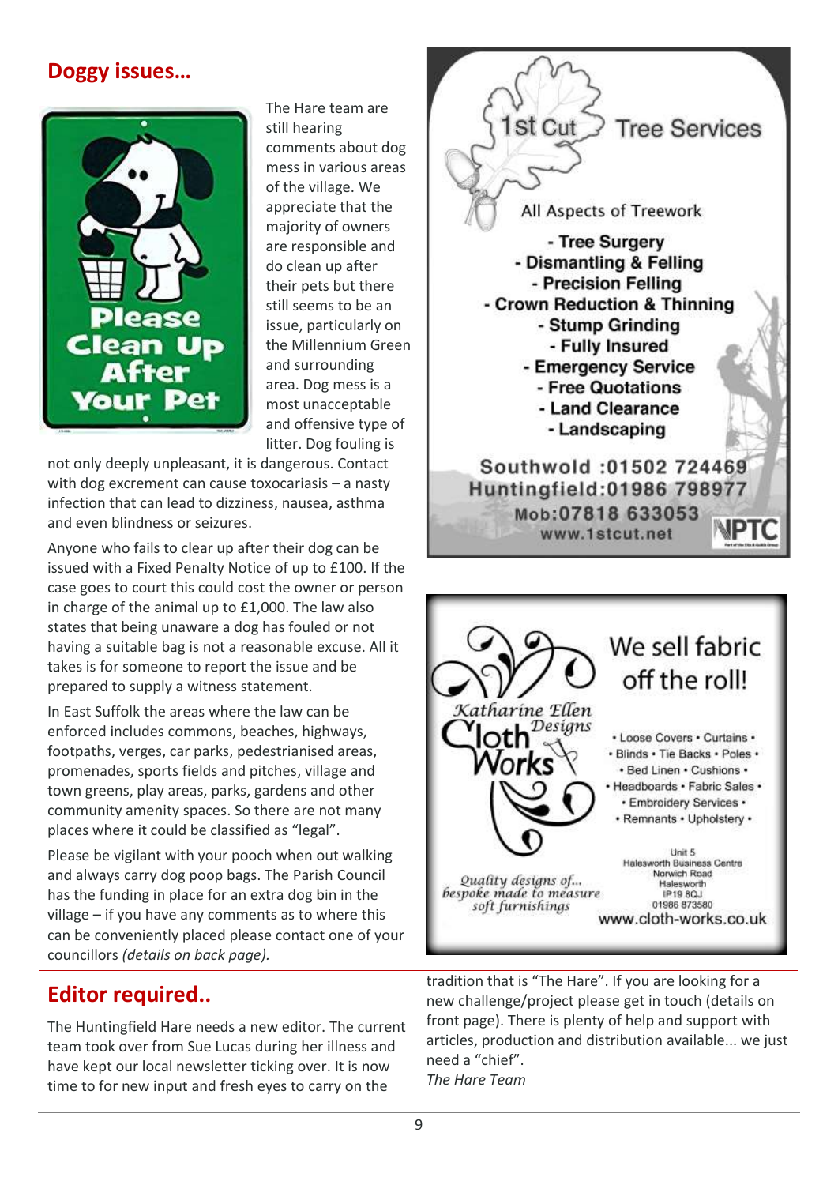## <span id="page-8-0"></span>**Doggy issues…**



The Hare team are still hearing comments about dog mess in various areas of the village. We appreciate that the majority of owners are responsible and do clean up after their pets but there still seems to be an issue, particularly on the Millennium Green and surrounding area. Dog mess is a most unacceptable and offensive type of litter. Dog fouling is

not only deeply unpleasant, it is dangerous. Contact with dog excrement can cause toxocariasis – a nasty infection that can lead to dizziness, nausea, asthma and even blindness or seizures.

Anyone who fails to clear up after their dog can be issued with a Fixed Penalty Notice of up to £100. If the case goes to court this could cost the owner or person in charge of the animal up to £1,000. The law also states that being unaware a dog has fouled or not having a suitable bag is not a reasonable excuse. All it takes is for someone to report the issue and be prepared to supply a witness statement.

In East Suffolk the areas where the law can be enforced includes commons, beaches, highways, footpaths, verges, car parks, pedestrianised areas, promenades, sports fields and pitches, village and town greens, play areas, parks, gardens and other community amenity spaces. So there are not many places where it could be classified as "legal".

Please be vigilant with your pooch when out walking and always carry dog poop bags. The Parish Council has the funding in place for an extra dog bin in the village – if you have any comments as to where this can be conveniently placed please contact one of your councillors *(details on back page).*

The Huntingfield Hare needs a new editor. The current team took over from Sue Lucas during her illness and have kept our local newsletter ticking over. It is now time to for new input and fresh eyes to carry on the





**Editor required.. tradition that is "The Hare". If you are looking for a** tradition that is "The Hare". If you are looking for a set in touch (details on front page). There is plenty of help and support with articles, production and distribution available... we just need a "chief". *The Hare Team*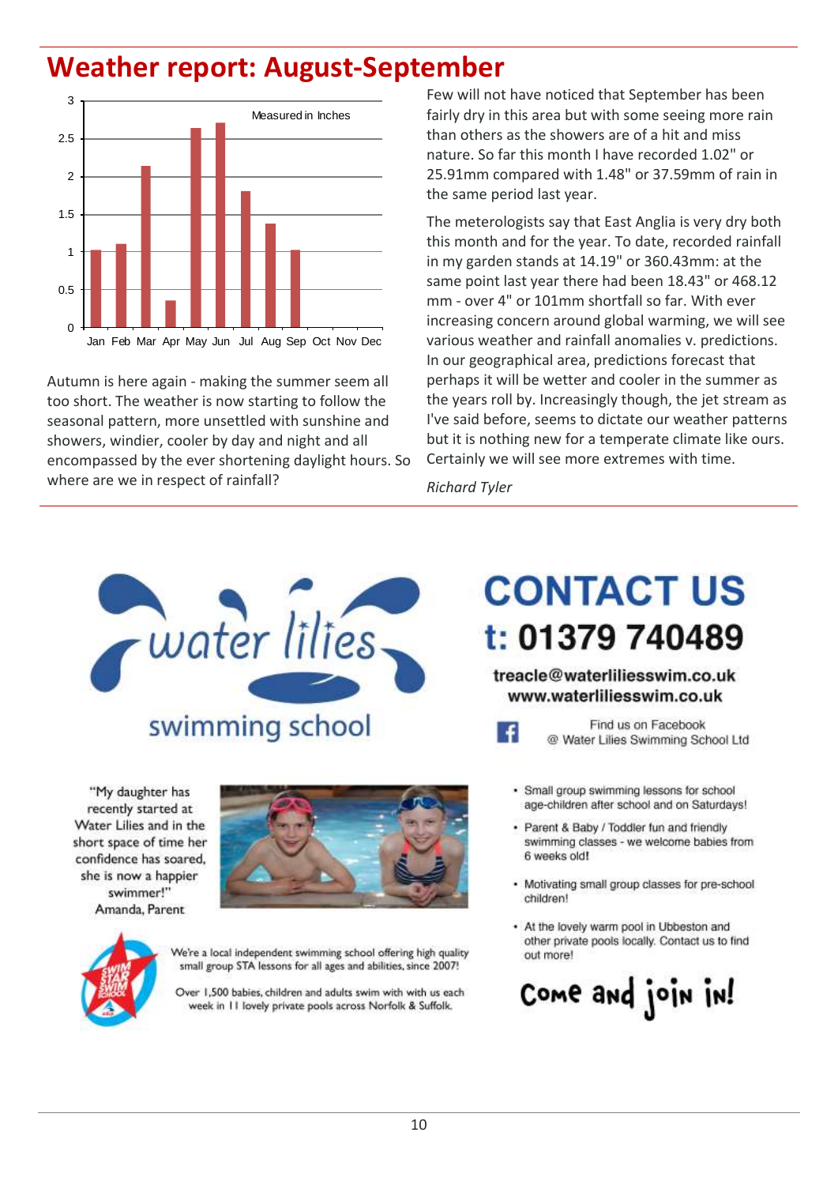# **Weather report: August-September**



Autumn is here again - making the summer seem all too short. The weather is now starting to follow the seasonal pattern, more unsettled with sunshine and showers, windier, cooler by day and night and all encompassed by the ever shortening daylight hours. So where are we in respect of rainfall?

Few will not have noticed that September has been fairly dry in this area but with some seeing more rain than others as the showers are of a hit and miss nature. So far this month I have recorded 1.02" or 25.91mm compared with 1.48" or 37.59mm of rain in the same period last year.

The meterologists say that East Anglia is very dry both this month and for the year. To date, recorded rainfall in my garden stands at 14.19" or 360.43mm: at the same point last year there had been 18.43" or 468.12 mm - over 4" or 101mm shortfall so far. With ever increasing concern around global warming, we will see various weather and rainfall anomalies v. predictions. In our geographical area, predictions forecast that perhaps it will be wetter and cooler in the summer as the years roll by. Increasingly though, the jet stream as I've said before, seems to dictate our weather patterns but it is nothing new for a temperate climate like ours. Certainly we will see more extremes with time.

*Richard Tyler*



#### "My daughter has recently started at Water Lilies and in the short space of time her confidence has soared, she is now a happier swimmer!" Amanda, Parent



We're a local independent swimming school offering high quality small group STA lessons for all ages and abilities, since 2007!

Over 1,500 babies, children and adults swim with with us each week in 11 lovely private pools across Norfolk & Suffolk.

# **CONTACT US** t: 01379 740489

#### treacle@waterliliesswim.co.uk www.waterliliesswim.co.uk



Find us on Facebook @ Water Lilies Swimming School Ltd

- · Small group swimming lessons for school age-children after school and on Saturdays!
- · Parent & Baby / Toddler fun and friendly swimming classes - we welcome babies from 6 weeks old!
- Motivating small group classes for pre-school children!
- At the lovely warm pool in Ubbeston and other private pools locally. Contact us to find out more!

Come and join in!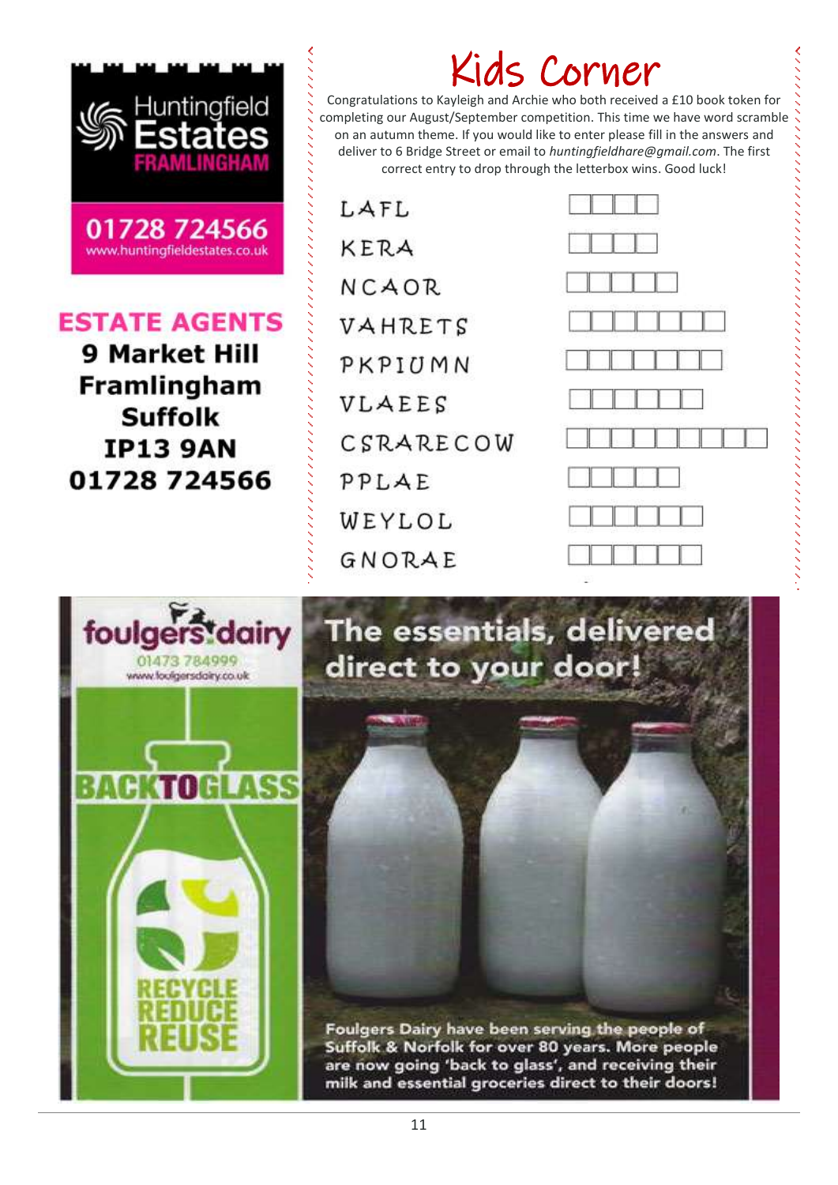

## **ESTATE AGENTS**

**9 Market Hill** Framlingham **Suffolk IP13 9AN** 01728 724566

| LAFL      |
|-----------|
| KERA      |
| NCAOR.    |
| VAHRETS   |
| PKPIUMN   |
| VLAEES    |
| CSRARECOW |
| PPLAE     |
| WEYLOL    |
| GNORAE    |

# Kids Corner

Congratulations to Kayleigh and Archie who both received a £10 book token for completing our August/September competition. This time we have word scramble on an autumn theme. If you would like to enter please fill in the answers and deliver to 6 Bridge Street or email to *huntingfieldhare@gmail.com*. The first correct entry to drop through the letterbox wins. Good luck!





The essentials, delivered direct to your door!

Foulgers Dairy have been serving the people of Suffolk & Norfolk for over 80 years. More people are now going 'back to glass', and receiving their milk and essential groceries direct to their doors!